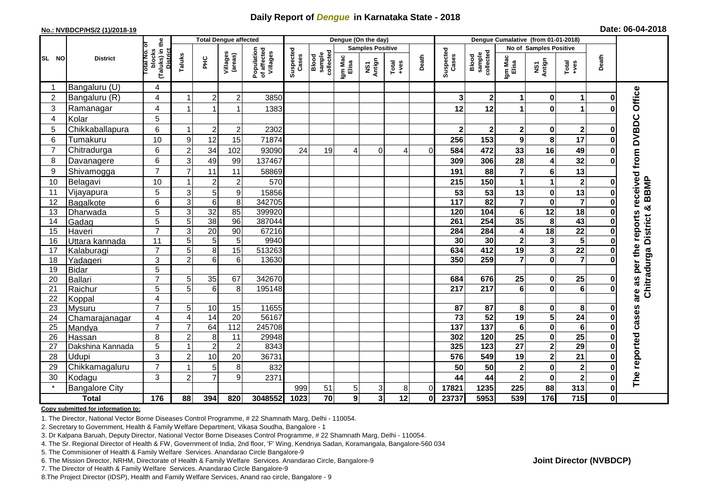## **Daily Report of** *Dengue* **in Karnataka State - 2018**

#### **No.: NVBDCP/HS/2 (1)/2018-19**

|  |  | Date: 06-04-2018 |
|--|--|------------------|
|--|--|------------------|

|                | <b>Total Dengue affected</b> |                                                           |                |                 |                     |                                       | Dengue (On the day) |                              |                  |                         |                                                              |              |                    | Dengue Cumalative (from 01-01-2018) |                         |                         |                         |              |                                            |  |
|----------------|------------------------------|-----------------------------------------------------------|----------------|-----------------|---------------------|---------------------------------------|---------------------|------------------------------|------------------|-------------------------|--------------------------------------------------------------|--------------|--------------------|-------------------------------------|-------------------------|-------------------------|-------------------------|--------------|--------------------------------------------|--|
|                | ō                            |                                                           |                |                 |                     |                                       |                     |                              |                  | <b>Samples Positive</b> |                                                              |              |                    |                                     |                         | No of Samples Positive  |                         |              |                                            |  |
| <b>SL NO</b>   | <b>District</b>              | (Taluks) in the<br>blocks<br>Total No.<br><b>District</b> | Taluks         | 울               | Villages<br>(areas) | Population<br>of affected<br>Villages | Suspected<br>Cases  | sample<br>collected<br>Blood | Igm Mac<br>Elisa | NS1<br>Antign           | $\begin{array}{c}\n\text{Total} \\ \text{+ves}\n\end{array}$ | Death        | Suspected<br>Cases | sample<br>collected<br>Blood        | Igm Mac<br>Elisa        | NS1<br>Antign           | Total<br>+ves           | Death        |                                            |  |
| -1             | Bangaluru (U)                | 4                                                         |                |                 |                     |                                       |                     |                              |                  |                         |                                                              |              |                    |                                     |                         |                         |                         |              |                                            |  |
| $\overline{2}$ | Bangaluru (R)                | 4                                                         |                | $\overline{2}$  | $\boldsymbol{2}$    | 3850                                  |                     |                              |                  |                         |                                                              |              | 3                  | $\mathbf 2$                         | 1                       | $\mathbf 0$             | 1                       |              |                                            |  |
| 3              | Ramanagar                    | 4                                                         |                |                 |                     | 1383                                  |                     |                              |                  |                         |                                                              |              | 12                 | 12                                  | 1                       | $\bf{0}$                | 1                       |              | Office                                     |  |
| 4              | Kolar                        | 5                                                         |                |                 |                     |                                       |                     |                              |                  |                         |                                                              |              |                    |                                     |                         |                         |                         |              |                                            |  |
| 5              | Chikkaballapura              | 6                                                         |                | $\overline{2}$  | $\overline{c}$      | 2302                                  |                     |                              |                  |                         |                                                              |              | 2 <sub>1</sub>     | $\boldsymbol{2}$                    | $\mathbf{2}$            | $\mathbf 0$             | $\mathbf{2}$            |              |                                            |  |
| 6              | Tumakuru                     | 10                                                        | 9              | 12              | 15                  | 71874                                 |                     |                              |                  |                         |                                                              |              | 256                | 153                                 | $\mathbf{9}$            | 8                       | 17                      |              | are as per the reports received from DVBDC |  |
| $\overline{7}$ | Chitradurga                  | 6                                                         | $\overline{2}$ | 34              | 102                 | 93090                                 | 24                  | 19                           | 4                | $\Omega$                | 4                                                            | $\Omega$     | 584                | 472                                 | 33                      | 16                      | 49                      |              |                                            |  |
| 8              | Davanagere                   | $6\phantom{1}$                                            | 3              | 49              | 99                  | 137467                                |                     |                              |                  |                         |                                                              |              | 309                | 306                                 | 28                      | $\overline{4}$          | 32                      |              |                                            |  |
| 9              | Shivamogga                   | $\overline{7}$                                            | $\overline{7}$ | 11              | 11                  | 58869                                 |                     |                              |                  |                         |                                                              |              | 191                | 88                                  | $\overline{7}$          | 6                       | 13                      |              |                                            |  |
| 10             | Belagavi                     | 10                                                        |                | $\overline{2}$  | $\mathbf 2$         | 570                                   |                     |                              |                  |                         |                                                              |              | 215                | 150                                 | 1                       | 1                       | $\mathbf{2}$            |              |                                            |  |
| 11             | Vijayapura                   | $\overline{5}$                                            | $\sqrt{3}$     | 5               | 9                   | 15856                                 |                     |                              |                  |                         |                                                              |              | 53                 | 53                                  | 13                      | $\mathbf 0$             | 13                      |              | Chitradurga District & BBMP                |  |
| 12             | Bagalkote                    | 6                                                         | $\overline{3}$ | $\,6\,$         | $\overline{8}$      | 342705                                |                     |                              |                  |                         |                                                              |              | $\frac{1}{117}$    | 82                                  | $\overline{\mathbf{7}}$ | $\overline{\mathbf{0}}$ | $\overline{\mathbf{7}}$ |              |                                            |  |
| 13             | Dharwada                     | 5                                                         | $\mathbf{3}$   | $\overline{32}$ | 85                  | 399920                                |                     |                              |                  |                         |                                                              |              | 120                | 104                                 | $6\phantom{1}$          | $\overline{12}$         | 18                      |              |                                            |  |
| 14             | Gadag                        | 5                                                         | 5              | 38              | 96                  | 387044                                |                     |                              |                  |                         |                                                              |              | 261                | 254                                 | 35                      | 8                       | 43                      |              |                                            |  |
| 15             | Haveri                       | $\overline{7}$                                            | $\overline{3}$ | $\overline{20}$ | $\overline{90}$     | 67216                                 |                     |                              |                  |                         |                                                              |              | 284                | 284                                 | 4                       | $\overline{18}$         | $\overline{22}$         |              |                                            |  |
| 16             | Uttara kannada               | 11                                                        | 5              | 5               | 5                   | 9940                                  |                     |                              |                  |                         |                                                              |              | 30                 | 30                                  | $\overline{\mathbf{2}}$ | 3                       | $\overline{5}$          |              |                                            |  |
| 17             | Kalaburagi                   | $\overline{7}$                                            | 5              | 8               | $\overline{15}$     | 513263                                |                     |                              |                  |                         |                                                              |              | 634                | 412                                 | $\overline{19}$         | $\overline{\mathbf{3}}$ | $\overline{22}$         |              |                                            |  |
| 18             | Yadageri                     | 3                                                         | $\overline{a}$ | $6\phantom{1}6$ | 6                   | 13630                                 |                     |                              |                  |                         |                                                              |              | 350                | 259                                 | 7                       | $\mathbf 0$             | $\overline{\mathbf{z}}$ |              |                                            |  |
| 19             | <b>Bidar</b>                 | 5                                                         |                |                 |                     |                                       |                     |                              |                  |                         |                                                              |              |                    |                                     |                         |                         |                         |              |                                            |  |
| 20             | Ballari                      | $\overline{7}$                                            | 5              | 35              | 67                  | 342670                                |                     |                              |                  |                         |                                                              |              | 684                | 676                                 | 25                      | $\mathbf 0$             | 25                      |              |                                            |  |
| 21             | Raichur                      | 5                                                         | 5              | 6               | 8                   | 195148                                |                     |                              |                  |                         |                                                              |              | 217                | 217                                 | $6\phantom{1}$          | $\mathbf{0}$            | ெ                       |              |                                            |  |
| 22             | Koppal                       | 4                                                         |                |                 |                     |                                       |                     |                              |                  |                         |                                                              |              |                    |                                     |                         |                         |                         |              |                                            |  |
| 23             | Mysuru                       | $\overline{7}$                                            | 5              | $10$            | 15                  | 11655                                 |                     |                              |                  |                         |                                                              |              | 87                 | 87                                  | 8                       | $\bf{0}$                | 8                       |              |                                            |  |
| 24             | Chamarajanagar               | 4                                                         | $\overline{4}$ | 14              | 20                  | 56167                                 |                     |                              |                  |                         |                                                              |              | $\overline{73}$    | 52                                  | 19                      | $\overline{\mathbf{5}}$ | 24                      |              | cases                                      |  |
| 25             | Mandya                       | $\overline{7}$                                            | $\overline{7}$ | 64              | 112                 | 245708                                |                     |                              |                  |                         |                                                              |              | $\overline{137}$   | $\overline{137}$                    | $\bf 6$                 | $\pmb{0}$               | 6                       |              |                                            |  |
| 26             | Hassan                       | 8                                                         | $\overline{2}$ | 8               | 11                  | 29948                                 |                     |                              |                  |                         |                                                              |              | 302                | 120                                 | $\overline{25}$         | $\mathbf 0$             | $\overline{25}$         |              |                                            |  |
| 27             | Dakshina Kannada             | 5                                                         |                | $\overline{2}$  | $\overline{2}$      | 8343                                  |                     |                              |                  |                         |                                                              |              | 325                | 123                                 | $\overline{27}$         | $\overline{\mathbf{2}}$ | $\overline{29}$         |              |                                            |  |
| 28             | Udupi                        | 3                                                         | $\overline{2}$ | 10              | 20                  | 36731                                 |                     |                              |                  |                         |                                                              |              | 576                | 549                                 | 19                      | $\overline{2}$          | 21                      |              |                                            |  |
| 29             | Chikkamagaluru               | $\overline{7}$                                            |                | 5               | 8                   | 832                                   |                     |                              |                  |                         |                                                              |              | 50                 | 50                                  | $\bf 2$                 | $\mathbf 0$             | $\mathbf{2}$            |              | The reported                               |  |
| 30<br>$\star$  | Kodagu                       | 3                                                         | $\overline{2}$ | $\overline{7}$  | 9                   | 2371                                  |                     |                              |                  |                         |                                                              |              | 44                 | 44                                  | $\mathbf{2}$            | $\bf{0}$                | $\mathbf{2}$            |              |                                            |  |
|                | <b>Bangalore City</b>        |                                                           |                |                 |                     |                                       | 999                 | 51                           | 5 <sub>5</sub>   | 3 <sup>1</sup>          | 8                                                            | $\Omega$     | 17821              | 1235                                | 225                     | 88                      | 313                     | $\bf{0}$     |                                            |  |
|                | <b>Total</b>                 | 176                                                       | 88             | 394             | 820                 | 3048552                               | 1023                | 70                           | $\overline{9}$   | $\overline{\mathbf{3}}$ | $\overline{12}$                                              | $\mathbf{0}$ | 23737              | 5953                                | 539                     | 176                     | 715                     | $\mathbf{0}$ |                                            |  |

#### **Copy submitted for information to:**

1. The Director, National Vector Borne Diseases Control Programme, # 22 Shamnath Marg, Delhi - 110054.

2. Secretary to Government, Health & Family Welfare Department, Vikasa Soudha, Bangalore - 1

3. Dr Kalpana Baruah, Deputy Director, National Vector Borne Diseases Control Programme, # 22 Shamnath Marg, Delhi - 110054.

- 4. The Sr. Regional Director of Health & FW, Government of India, 2nd floor, 'F' Wing, Kendriya Sadan, Koramangala, Bangalore-560 034
- 5. The Commisioner of Health & Family Welfare Services. Anandarao Circle Bangalore-9
- 6. The Mission Director, NRHM, Directorate of Health & Family Welfare Services. Anandarao Circle, Bangalore-9

7. The Director of Health & Family Welfare Services. Anandarao Circle Bangalore-9

8. The Project Director (IDSP), Health and Family Welfare Services, Anand rao circle, Bangalore - 9